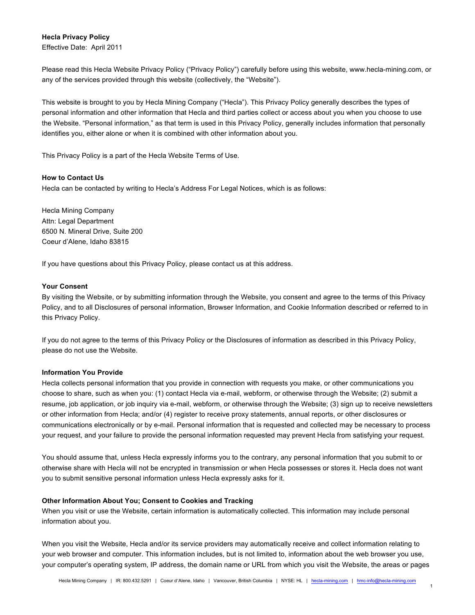# **Hecla Privacy Policy**

Effective Date: April 2011

Please read this Hecla Website Privacy Policy ("Privacy Policy") carefully before using this website, www.hecla-mining.com, or any of the services provided through this website (collectively, the "Website").

This website is brought to you by Hecla Mining Company ("Hecla"). This Privacy Policy generally describes the types of personal information and other information that Hecla and third parties collect or access about you when you choose to use the Website. "Personal information," as that term is used in this Privacy Policy, generally includes information that personally identifies you, either alone or when it is combined with other information about you.

This Privacy Policy is a part of the Hecla Website Terms of Use.

## **How to Contact Us**

Hecla can be contacted by writing to Hecla's Address For Legal Notices, which is as follows:

Hecla Mining Company Attn: Legal Department 6500 N. Mineral Drive, Suite 200 Coeur d'Alene, Idaho 83815

If you have questions about this Privacy Policy, please contact us at this address.

# **Your Consent**

By visiting the Website, or by submitting information through the Website, you consent and agree to the terms of this Privacy Policy, and to all Disclosures of personal information, Browser Information, and Cookie Information described or referred to in this Privacy Policy.

If you do not agree to the terms of this Privacy Policy or the Disclosures of information as described in this Privacy Policy, please do not use the Website.

### **Information You Provide**

Hecla collects personal information that you provide in connection with requests you make, or other communications you choose to share, such as when you: (1) contact Hecla via e-mail, webform, or otherwise through the Website; (2) submit a resume, job application, or job inquiry via e-mail, webform, or otherwise through the Website; (3) sign up to receive newsletters or other information from Hecla; and/or (4) register to receive proxy statements, annual reports, or other disclosures or communications electronically or by e-mail. Personal information that is requested and collected may be necessary to process your request, and your failure to provide the personal information requested may prevent Hecla from satisfying your request.

You should assume that, unless Hecla expressly informs you to the contrary, any personal information that you submit to or otherwise share with Hecla will not be encrypted in transmission or when Hecla possesses or stores it. Hecla does not want you to submit sensitive personal information unless Hecla expressly asks for it.

### **Other Information About You; Consent to Cookies and Tracking**

When you visit or use the Website, certain information is automatically collected. This information may include personal information about you.

When you visit the Website, Hecla and/or its service providers may automatically receive and collect information relating to your web browser and computer. This information includes, but is not limited to, information about the web browser you use, your computer's operating system, IP address, the domain name or URL from which you visit the Website, the areas or pages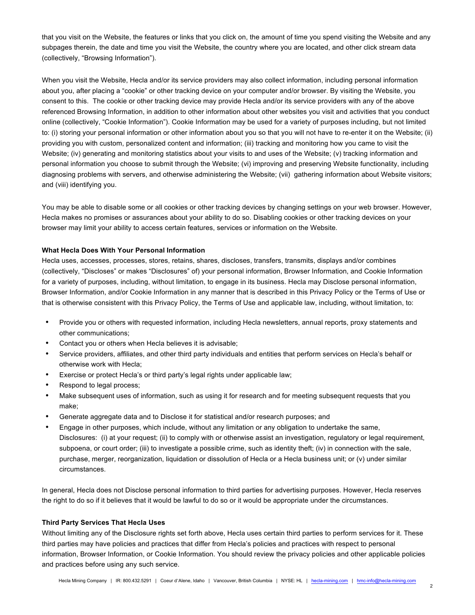that you visit on the Website, the features or links that you click on, the amount of time you spend visiting the Website and any subpages therein, the date and time you visit the Website, the country where you are located, and other click stream data (collectively, "Browsing Information").

When you visit the Website, Hecla and/or its service providers may also collect information, including personal information about you, after placing a "cookie" or other tracking device on your computer and/or browser. By visiting the Website, you consent to this. The cookie or other tracking device may provide Hecla and/or its service providers with any of the above referenced Browsing Information, in addition to other information about other websites you visit and activities that you conduct online (collectively, "Cookie Information"). Cookie Information may be used for a variety of purposes including, but not limited to: (i) storing your personal information or other information about you so that you will not have to re-enter it on the Website; (ii) providing you with custom, personalized content and information; (iii) tracking and monitoring how you came to visit the Website; (iv) generating and monitoring statistics about your visits to and uses of the Website; (v) tracking information and personal information you choose to submit through the Website; (vi) improving and preserving Website functionality, including diagnosing problems with servers, and otherwise administering the Website; (vii) gathering information about Website visitors; and (viii) identifying you.

You may be able to disable some or all cookies or other tracking devices by changing settings on your web browser. However, Hecla makes no promises or assurances about your ability to do so. Disabling cookies or other tracking devices on your browser may limit your ability to access certain features, services or information on the Website.

### **What Hecla Does With Your Personal Information**

Hecla uses, accesses, processes, stores, retains, shares, discloses, transfers, transmits, displays and/or combines (collectively, "Discloses" or makes "Disclosures" of) your personal information, Browser Information, and Cookie Information for a variety of purposes, including, without limitation, to engage in its business. Hecla may Disclose personal information, Browser Information, and/or Cookie Information in any manner that is described in this Privacy Policy or the Terms of Use or that is otherwise consistent with this Privacy Policy, the Terms of Use and applicable law, including, without limitation, to:

- Provide you or others with requested information, including Hecla newsletters, annual reports, proxy statements and other communications;
- Contact you or others when Hecla believes it is advisable;
- Service providers, affiliates, and other third party individuals and entities that perform services on Hecla's behalf or otherwise work with Hecla;
- Exercise or protect Hecla's or third party's legal rights under applicable law;
- Respond to legal process;
- Make subsequent uses of information, such as using it for research and for meeting subsequent requests that you make;
- Generate aggregate data and to Disclose it for statistical and/or research purposes; and
- Engage in other purposes, which include, without any limitation or any obligation to undertake the same, Disclosures: (i) at your request; (ii) to comply with or otherwise assist an investigation, regulatory or legal requirement, subpoena, or court order; (iii) to investigate a possible crime, such as identity theft; (iv) in connection with the sale, purchase, merger, reorganization, liquidation or dissolution of Hecla or a Hecla business unit; or (v) under similar circumstances.

In general, Hecla does not Disclose personal information to third parties for advertising purposes. However, Hecla reserves the right to do so if it believes that it would be lawful to do so or it would be appropriate under the circumstances.

#### **Third Party Services That Hecla Uses**

Without limiting any of the Disclosure rights set forth above, Hecla uses certain third parties to perform services for it. These third parties may have policies and practices that differ from Hecla's policies and practices with respect to personal information, Browser Information, or Cookie Information. You should review the privacy policies and other applicable policies and practices before using any such service.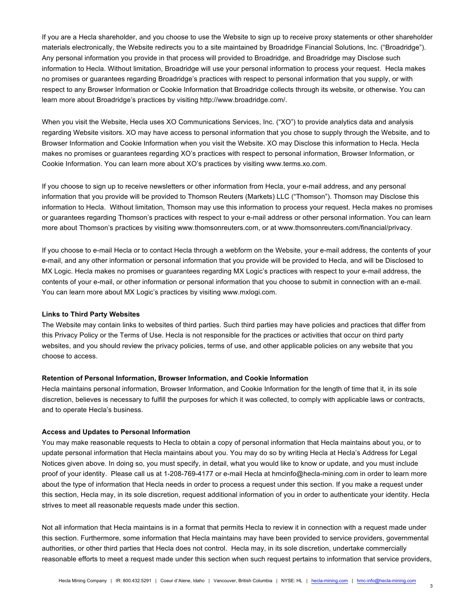If you are a Hecla shareholder, and you choose to use the Website to sign up to receive proxy statements or other shareholder materials electronically, the Website redirects you to a site maintained by Broadridge Financial Solutions, Inc. ("Broadridge"). Any personal information you provide in that process will provided to Broadridge, and Broadridge may Disclose such information to Hecla. Without limitation, Broadridge will use your personal information to process your request. Hecla makes no promises or guarantees regarding Broadridge's practices with respect to personal information that you supply, or with respect to any Browser Information or Cookie Information that Broadridge collects through its website, or otherwise. You can learn more about Broadridge's practices by visiting http://www.broadridge.com/.

When you visit the Website, Hecla uses XO Communications Services, Inc. ("XO") to provide analytics data and analysis regarding Website visitors. XO may have access to personal information that you chose to supply through the Website, and to Browser Information and Cookie Information when you visit the Website. XO may Disclose this information to Hecla. Hecla makes no promises or guarantees regarding XO's practices with respect to personal information, Browser Information, or Cookie Information. You can learn more about XO's practices by visiting www.terms.xo.com.

If you choose to sign up to receive newsletters or other information from Hecla, your e-mail address, and any personal information that you provide will be provided to Thomson Reuters (Markets) LLC ("Thomson"). Thomson may Disclose this information to Hecla. Without limitation, Thomson may use this information to process your request. Hecla makes no promises or guarantees regarding Thomson's practices with respect to your e-mail address or other personal information. You can learn more about Thomson's practices by visiting www.thomsonreuters.com, or at www.thomsonreuters.com/financial/privacy.

If you choose to e-mail Hecla or to contact Hecla through a webform on the Website, your e-mail address, the contents of your e-mail, and any other information or personal information that you provide will be provided to Hecla, and will be Disclosed to MX Logic. Hecla makes no promises or guarantees regarding MX Logic's practices with respect to your e-mail address, the contents of your e-mail, or other information or personal information that you choose to submit in connection with an e-mail. You can learn more about MX Logic's practices by visiting www.mxlogi.com.

#### **Links to Third Party Websites**

The Website may contain links to websites of third parties. Such third parties may have policies and practices that differ from this Privacy Policy or the Terms of Use. Hecla is not responsible for the practices or activities that occur on third party websites, and you should review the privacy policies, terms of use, and other applicable policies on any website that you choose to access.

#### **Retention of Personal Information, Browser Information, and Cookie Information**

Hecla maintains personal information, Browser Information, and Cookie Information for the length of time that it, in its sole discretion, believes is necessary to fulfill the purposes for which it was collected, to comply with applicable laws or contracts, and to operate Hecla's business.

### **Access and Updates to Personal Information**

You may make reasonable requests to Hecla to obtain a copy of personal information that Hecla maintains about you, or to update personal information that Hecla maintains about you. You may do so by writing Hecla at Hecla's Address for Legal Notices given above. In doing so, you must specify, in detail, what you would like to know or update, and you must include proof of your identity. Please call us at 1-208-769-4177 or e-mail Hecla at hmcinfo@hecla-mining.com in order to learn more about the type of information that Hecla needs in order to process a request under this section. If you make a request under this section, Hecla may, in its sole discretion, request additional information of you in order to authenticate your identity. Hecla strives to meet all reasonable requests made under this section.

Not all information that Hecla maintains is in a format that permits Hecla to review it in connection with a request made under this section. Furthermore, some information that Hecla maintains may have been provided to service providers, governmental authorities, or other third parties that Hecla does not control. Hecla may, in its sole discretion, undertake commercially reasonable efforts to meet a request made under this section when such request pertains to information that service providers,